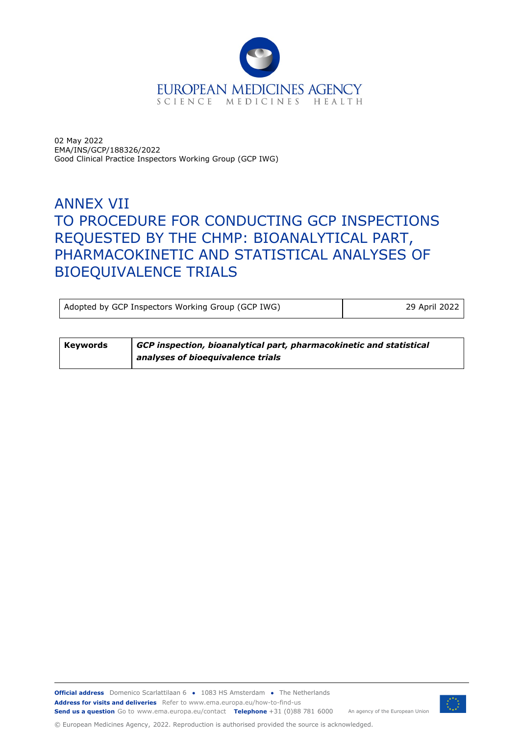

02 May 2022 EMA/INS/GCP/188326/2022 Good Clinical Practice Inspectors Working Group (GCP IWG)

# ANNEX VII TO PROCEDURE FOR CONDUCTING GCP INSPECTIONS REQUESTED BY THE CHMP: BIOANALYTICAL PART, PHARMACOKINETIC AND STATISTICAL ANALYSES OF BIOEQUIVALENCE TRIALS

Adopted by GCP Inspectors Working Group (GCP IWG) 29 April 2022

| Keywords | $\mid$ GCP inspection, bioanalytical part, pharmacokinetic and statistical |
|----------|----------------------------------------------------------------------------|
|          | analyses of bioequivalence trials                                          |

**Official address** Domenico Scarlattilaan 6 **●** 1083 HS Amsterdam **●** The Netherlands An agency of the European Union **Address for visits and deliveries** Refer to www.ema.europa.eu/how-to-find-us **Send us a question** Go to www.ema.europa.eu/contact **Telephone** +31 (0)88 781 6000

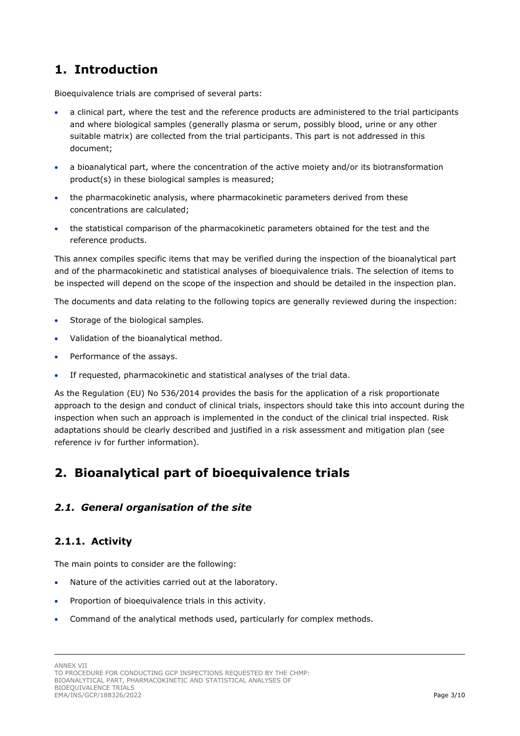## <span id="page-2-0"></span>**1. Introduction**

Bioequivalence trials are comprised of several parts:

- a clinical part, where the test and the reference products are administered to the trial participants and where biological samples (generally plasma or serum, possibly blood, urine or any other suitable matrix) are collected from the trial participants. This part is not addressed in this document;
- a bioanalytical part, where the concentration of the active moiety and/or its biotransformation product(s) in these biological samples is measured;
- the pharmacokinetic analysis, where pharmacokinetic parameters derived from these concentrations are calculated;
- the statistical comparison of the pharmacokinetic parameters obtained for the test and the reference products.

This annex compiles specific items that may be verified during the inspection of the bioanalytical part and of the pharmacokinetic and statistical analyses of bioequivalence trials. The selection of items to be inspected will depend on the scope of the inspection and should be detailed in the inspection plan.

The documents and data relating to the following topics are generally reviewed during the inspection:

- Storage of the biological samples.
- Validation of the bioanalytical method.
- Performance of the assays.
- If requested, pharmacokinetic and statistical analyses of the trial data.

As the Regulation (EU) No 536/2014 provides the basis for the application of a risk proportionate approach to the design and conduct of clinical trials, inspectors should take this into account during the inspection when such an approach is implemented in the conduct of the clinical trial inspected. Risk adaptations should be clearly described and justified in a risk assessment and mitigation plan (see reference iv for further information).

## <span id="page-2-1"></span>**2. Bioanalytical part of bioequivalence trials**

#### <span id="page-2-2"></span>*2.1. General organisation of the site*

## <span id="page-2-3"></span>**2.1.1. Activity**

The main points to consider are the following:

- Nature of the activities carried out at the laboratory.
- Proportion of bioequivalence trials in this activity.
- Command of the analytical methods used, particularly for complex methods.

ANNEX VII

TO PROCEDURE FOR CONDUCTING GCP INSPECTIONS REQUESTED BY THE CHMP: BIOANALYTICAL PART, PHARMACOKINETIC AND STATISTICAL ANALYSES OF BIOEQUIVALENCE TRIALS EMA/INS/GCP/188326/2022 Page 3/10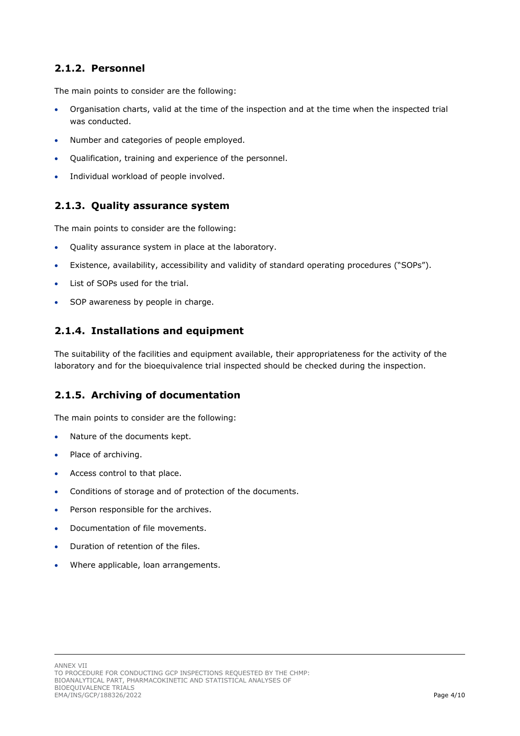## <span id="page-3-0"></span>**2.1.2. Personnel**

The main points to consider are the following:

- Organisation charts, valid at the time of the inspection and at the time when the inspected trial was conducted.
- Number and categories of people employed.
- Qualification, training and experience of the personnel.
- Individual workload of people involved.

#### <span id="page-3-1"></span>**2.1.3. Quality assurance system**

The main points to consider are the following:

- Quality assurance system in place at the laboratory.
- Existence, availability, accessibility and validity of standard operating procedures ("SOPs").
- List of SOPs used for the trial.
- SOP awareness by people in charge.

#### <span id="page-3-2"></span>**2.1.4. Installations and equipment**

The suitability of the facilities and equipment available, their appropriateness for the activity of the laboratory and for the bioequivalence trial inspected should be checked during the inspection.

#### <span id="page-3-3"></span>**2.1.5. Archiving of documentation**

The main points to consider are the following:

- Nature of the documents kept.
- Place of archiving.
- Access control to that place.
- Conditions of storage and of protection of the documents.
- Person responsible for the archives.
- Documentation of file movements.
- Duration of retention of the files.
- Where applicable, loan arrangements.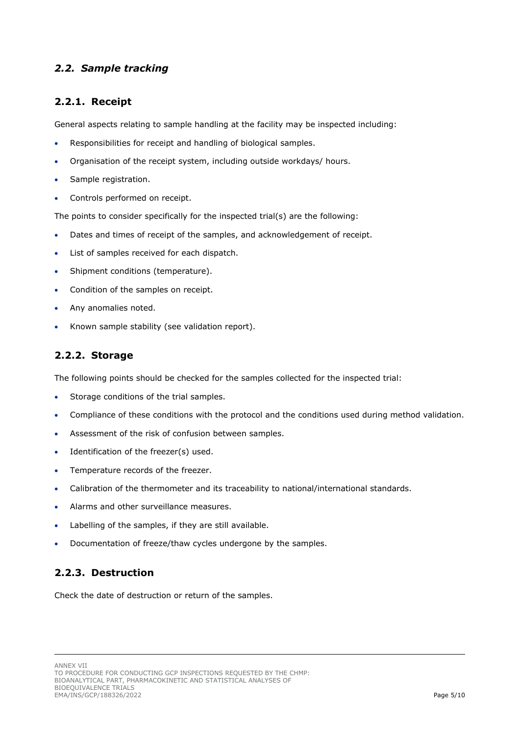#### <span id="page-4-0"></span>*2.2. Sample tracking*

#### <span id="page-4-1"></span>**2.2.1. Receipt**

General aspects relating to sample handling at the facility may be inspected including:

- Responsibilities for receipt and handling of biological samples.
- Organisation of the receipt system, including outside workdays/ hours.
- Sample registration.
- Controls performed on receipt.

The points to consider specifically for the inspected trial(s) are the following:

- Dates and times of receipt of the samples, and acknowledgement of receipt.
- List of samples received for each dispatch.
- Shipment conditions (temperature).
- Condition of the samples on receipt.
- Any anomalies noted.
- Known sample stability (see validation report).

### <span id="page-4-2"></span>**2.2.2. Storage**

The following points should be checked for the samples collected for the inspected trial:

- Storage conditions of the trial samples.
- Compliance of these conditions with the protocol and the conditions used during method validation.
- Assessment of the risk of confusion between samples.
- Identification of the freezer(s) used.
- Temperature records of the freezer.
- Calibration of the thermometer and its traceability to national/international standards.
- Alarms and other surveillance measures.
- Labelling of the samples, if they are still available.
- Documentation of freeze/thaw cycles undergone by the samples.

#### <span id="page-4-3"></span>**2.2.3. Destruction**

Check the date of destruction or return of the samples.

TO PROCEDURE FOR CONDUCTING GCP INSPECTIONS REQUESTED BY THE CHMP: BIOANALYTICAL PART, PHARMACOKINETIC AND STATISTICAL ANALYSES OF BIOEQUIVALENCE TRIALS EMA/INS/GCP/188326/2022 Page 5/10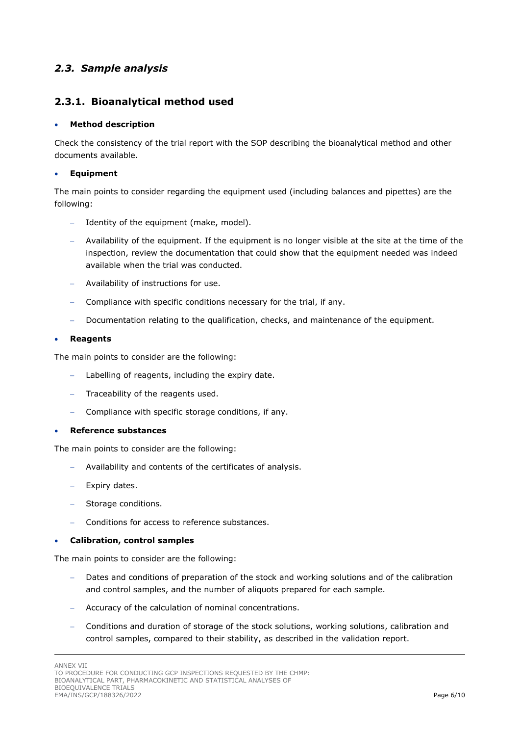### <span id="page-5-0"></span>*2.3. Sample analysis*

#### <span id="page-5-1"></span>**2.3.1. Bioanalytical method used**

#### • **Method description**

Check the consistency of the trial report with the SOP describing the bioanalytical method and other documents available.

#### • **Equipment**

The main points to consider regarding the equipment used (including balances and pipettes) are the following:

- Identity of the equipment (make, model).
- − Availability of the equipment. If the equipment is no longer visible at the site at the time of the inspection, review the documentation that could show that the equipment needed was indeed available when the trial was conducted.
- − Availability of instructions for use.
- − Compliance with specific conditions necessary for the trial, if any.
- − Documentation relating to the qualification, checks, and maintenance of the equipment.

#### • **Reagents**

The main points to consider are the following:

- Labelling of reagents, including the expiry date.
- − Traceability of the reagents used.
- − Compliance with specific storage conditions, if any.

#### • **Reference substances**

The main points to consider are the following:

- − Availability and contents of the certificates of analysis.
- − Expiry dates.
- − Storage conditions.
- − Conditions for access to reference substances.

#### • **Calibration, control samples**

The main points to consider are the following:

- Dates and conditions of preparation of the stock and working solutions and of the calibration and control samples, and the number of aliquots prepared for each sample.
- − Accuracy of the calculation of nominal concentrations.
- − Conditions and duration of storage of the stock solutions, working solutions, calibration and control samples, compared to their stability, as described in the validation report.

ANNEX VII

TO PROCEDURE FOR CONDUCTING GCP INSPECTIONS REQUESTED BY THE CHMP: BIOANALYTICAL PART, PHARMACOKINETIC AND STATISTICAL ANALYSES OF BIOEQUIVALENCE TRIALS EMA/INS/GCP/188326/2022 Page 6/10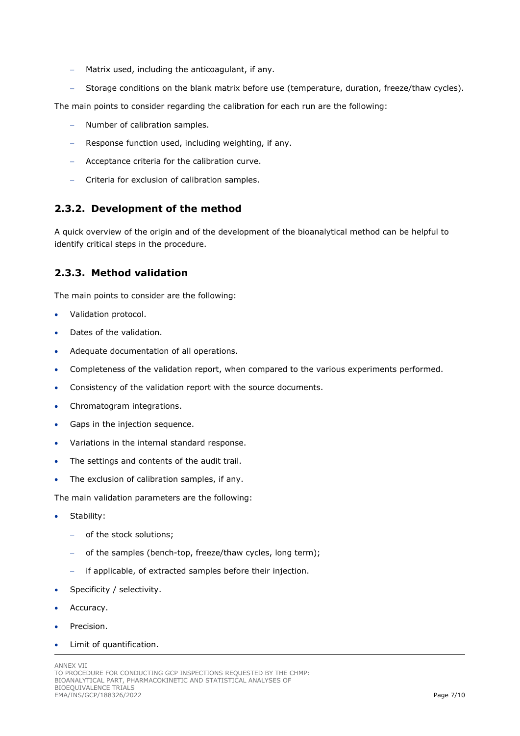- − Matrix used, including the anticoagulant, if any.
- Storage conditions on the blank matrix before use (temperature, duration, freeze/thaw cycles).

The main points to consider regarding the calibration for each run are the following:

- − Number of calibration samples.
- − Response function used, including weighting, if any.
- − Acceptance criteria for the calibration curve.
- − Criteria for exclusion of calibration samples.

#### <span id="page-6-0"></span>**2.3.2. Development of the method**

A quick overview of the origin and of the development of the bioanalytical method can be helpful to identify critical steps in the procedure.

#### <span id="page-6-1"></span>**2.3.3. Method validation**

The main points to consider are the following:

- Validation protocol.
- Dates of the validation.
- Adequate documentation of all operations.
- Completeness of the validation report, when compared to the various experiments performed.
- Consistency of the validation report with the source documents.
- Chromatogram integrations.
- Gaps in the injection sequence.
- Variations in the internal standard response.
- The settings and contents of the audit trail.
- The exclusion of calibration samples, if any.

The main validation parameters are the following:

- Stability:
	- − of the stock solutions;
	- − of the samples (bench-top, freeze/thaw cycles, long term);
	- − if applicable, of extracted samples before their injection.
- Specificity / selectivity.
- Accuracy.
- Precision.
- Limit of quantification.

ANNEX VII TO PROCEDURE FOR CONDUCTING GCP INSPECTIONS REQUESTED BY THE CHMP: BIOANALYTICAL PART, PHARMACOKINETIC AND STATISTICAL ANALYSES OF BIOEQUIVALENCE TRIALS EMA/INS/GCP/188326/2022 Page 7/10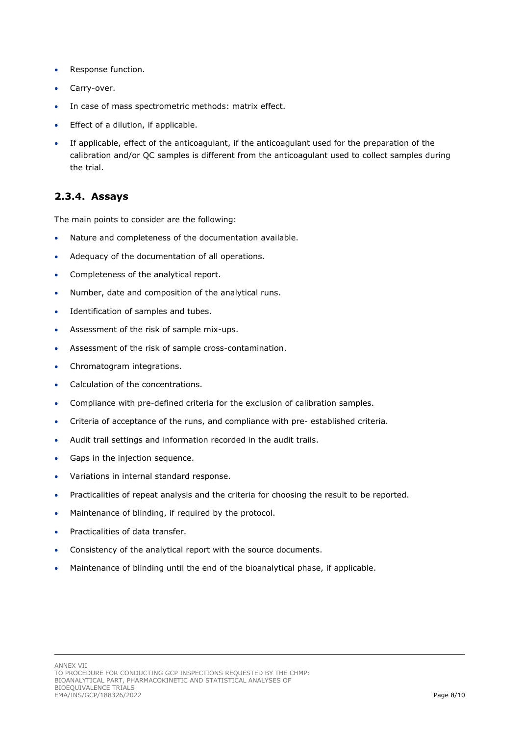- Response function.
- Carry-over.
- In case of mass spectrometric methods: matrix effect.
- Effect of a dilution, if applicable.
- If applicable, effect of the anticoagulant, if the anticoagulant used for the preparation of the calibration and/or QC samples is different from the anticoagulant used to collect samples during the trial.

#### <span id="page-7-0"></span>**2.3.4. Assays**

The main points to consider are the following:

- Nature and completeness of the documentation available.
- Adequacy of the documentation of all operations.
- Completeness of the analytical report.
- Number, date and composition of the analytical runs.
- Identification of samples and tubes.
- Assessment of the risk of sample mix-ups.
- Assessment of the risk of sample cross-contamination.
- Chromatogram integrations.
- Calculation of the concentrations.
- Compliance with pre-defined criteria for the exclusion of calibration samples.
- Criteria of acceptance of the runs, and compliance with pre- established criteria.
- Audit trail settings and information recorded in the audit trails.
- Gaps in the injection sequence.
- Variations in internal standard response.
- Practicalities of repeat analysis and the criteria for choosing the result to be reported.
- Maintenance of blinding, if required by the protocol.
- Practicalities of data transfer.
- Consistency of the analytical report with the source documents.
- Maintenance of blinding until the end of the bioanalytical phase, if applicable.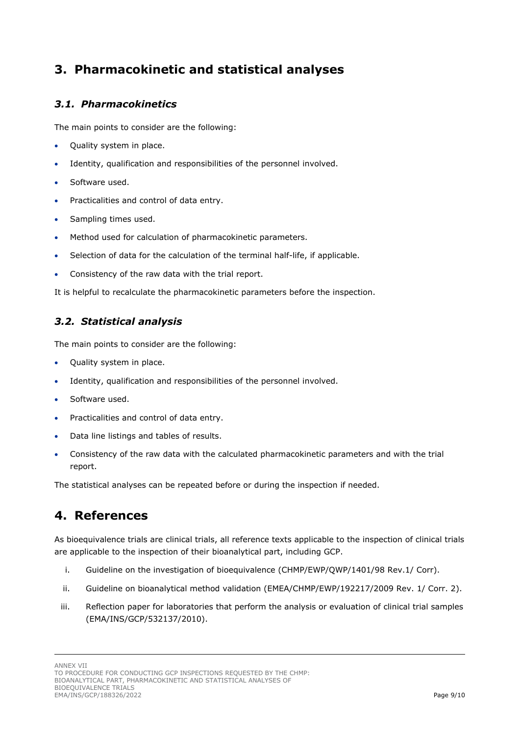## <span id="page-8-0"></span>**3. Pharmacokinetic and statistical analyses**

## <span id="page-8-1"></span>*3.1. Pharmacokinetics*

The main points to consider are the following:

- Quality system in place.
- Identity, qualification and responsibilities of the personnel involved.
- Software used.
- Practicalities and control of data entry.
- Sampling times used.
- Method used for calculation of pharmacokinetic parameters.
- Selection of data for the calculation of the terminal half-life, if applicable.
- Consistency of the raw data with the trial report.

It is helpful to recalculate the pharmacokinetic parameters before the inspection.

### <span id="page-8-2"></span>*3.2. Statistical analysis*

The main points to consider are the following:

- Quality system in place.
- Identity, qualification and responsibilities of the personnel involved.
- Software used.
- Practicalities and control of data entry.
- Data line listings and tables of results.
- Consistency of the raw data with the calculated pharmacokinetic parameters and with the trial report.

The statistical analyses can be repeated before or during the inspection if needed.

## <span id="page-8-3"></span>**4. References**

As bioequivalence trials are clinical trials, all reference texts applicable to the inspection of clinical trials are applicable to the inspection of their bioanalytical part, including GCP.

- i. Guideline on the investigation of bioequivalence (CHMP/EWP/QWP/1401/98 Rev.1/ Corr).
- ii. Guideline on bioanalytical method validation (EMEA/CHMP/EWP/192217/2009 Rev. 1/ Corr. 2).
- iii. Reflection paper for laboratories that perform the analysis or evaluation of clinical trial samples (EMA/INS/GCP/532137/2010).

ANNEX VII

TO PROCEDURE FOR CONDUCTING GCP INSPECTIONS REQUESTED BY THE CHMP: BIOANALYTICAL PART, PHARMACOKINETIC AND STATISTICAL ANALYSES OF BIOEQUIVALENCE TRIALS EMA/INS/GCP/188326/2022 Page 9/10